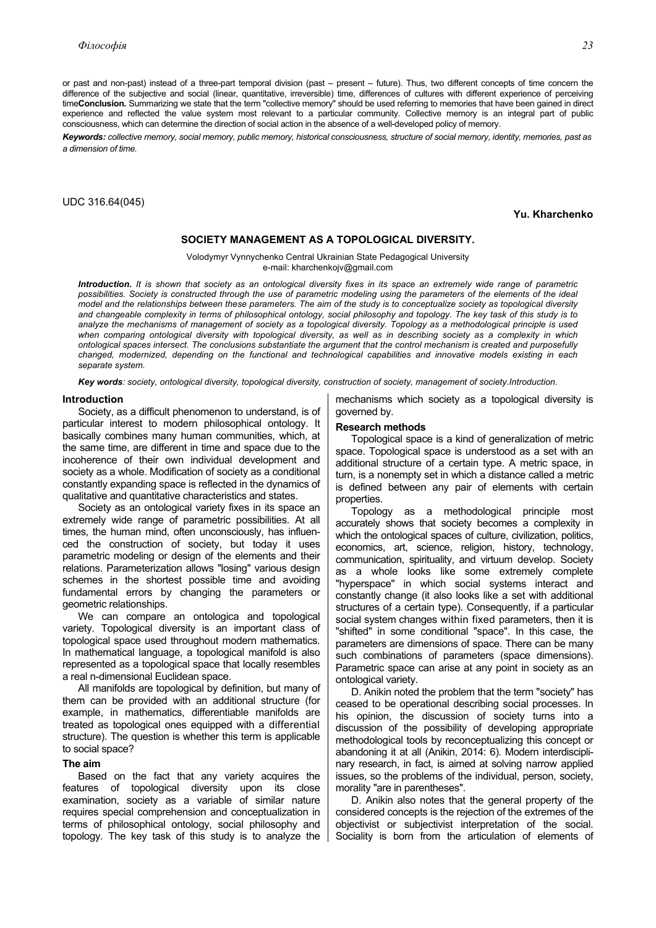or past and non-past) instead of a three-part temporal division (past – present – future). Thus, two different concepts of time concern the difference of the subjective and social (linear, quantitative, irreversible) time, differences of cultures with different experience of perceiving time**Conclusion***.* Summarizing we state that the term "collective memory" should be used referring to memories that have been gained in direct experience and reflected the value system most relevant to a particular community. Collective memory is an integral part of public consciousness, which can determine the direction of social action in the absence of a well-developed policy of memory.

*Keywords: collective memory, social memory, public memory, historical consciousness, structure of social memory, identity, memories, past as a dimension of time.* 

UDC 316.64(045)

**Yu. Kharchenko** 

## **SOCIETY MANAGEMENT AS A TOPOLOGICAL DIVERSITY.**

Volodymyr Vynnychenko Central Ukrainian State Pedagogical University e-mail: kharchenkojv@gmail.com

*Introduction. It is shown that society as an ontological diversity fixes in its space an extremely wide range of parametric possibilities. Society is constructed through the use of parametric modeling using the parameters of the elements of the ideal model and the relationships between these parameters. The aim of the study is to conceptualize society as topological diversity and changeable complexity in terms of philosophical ontology, social philosophy and topology. The key task of this study is to analyze the mechanisms of management of society as a topological diversity. Topology as a methodological principle is used when comparing ontological diversity with topological diversity, as well as in describing society as a complexity in which ontological spaces intersect. The conclusions substantiate the argument that the control mechanism is created and purposefully changed, modernized, depending on the functional and technological capabilities and innovative models existing in each separate system.* 

*Key words: society, ontological diversity, topological diversity, construction of society, management of society.Introduction.*

### **Introduction**

Society, as a difficult phenomenon to understand, is of particular interest to modern philosophical ontology. It basically combines many human communities, which, at the same time, are different in time and space due to the incoherence of their own individual development and society as a whole. Modification of society as a conditional constantly expanding space is reflected in the dynamics of qualitative and quantitative characteristics and states.

Society as an ontological variety fixes in its space an extremely wide range of parametric possibilities. At all times, the human mind, often unconsciously, has influenced the construction of society, but today it uses parametric modeling or design of the elements and their relations. Parameterization allows "losing" various design schemes in the shortest possible time and avoiding fundamental errors by changing the parameters or geometric relationships.

We can compare an ontologica and topological variety. Topological diversity is an important class of topological space used throughout modern mathematics. In mathematical language, a topological manifold is also represented as a topological space that locally resembles a real n-dimensional Euclidean space.

All manifolds are topological by definition, but many of them can be provided with an additional structure (for example, in mathematics, differentiable manifolds are treated as topological ones equipped with a differential structure). The question is whether this term is applicable to social space?

# **The aim**

Based on the fact that any variety acquires the features of topological diversity upon its close examination, society as a variable of similar nature requires special comprehension and conceptualization in terms of philosophical ontology, social philosophy and topology. The key task of this study is to analyze the mechanisms which society as a topological diversity is governed by.

### **Research methods**

Topological space is a kind of generalization of metric space. Topological space is understood as a set with an additional structure of a certain type. A metric space, in turn, is a nonempty set in which a distance called a metric is defined between any pair of elements with certain properties.

Topology as a methodological principle most accurately shows that society becomes a complexity in which the ontological spaces of culture, civilization, politics, economics, art, science, religion, history, technology, communication, spirituality, and virtuum develop. Society as a whole looks like some extremely complete "hyperspace" in which social systems interact and constantly change (it also looks like a set with additional structures of a certain type). Consequently, if a particular social system changes within fixed parameters, then it is "shifted" in some conditional "space". In this case, the parameters are dimensions of space. There can be many such combinations of parameters (space dimensions). Parametric space can arise at any point in society as an ontological variety.

D. Anikin noted the problem that the term "society" has ceased to be operational describing social processes. In his opinion, the discussion of society turns into a discussion of the possibility of developing appropriate methodological tools by reconceptualizing this concept or abandoning it at all (Anikin, 2014: 6). Modern interdisciplinary research, in fact, is aimed at solving narrow applied issues, so the problems of the individual, person, society, morality "are in parentheses".

D. Anikin also notes that the general property of the considered concepts is the rejection of the extremes of the objectivist or subjectivist interpretation of the social. Sociality is born from the articulation of elements of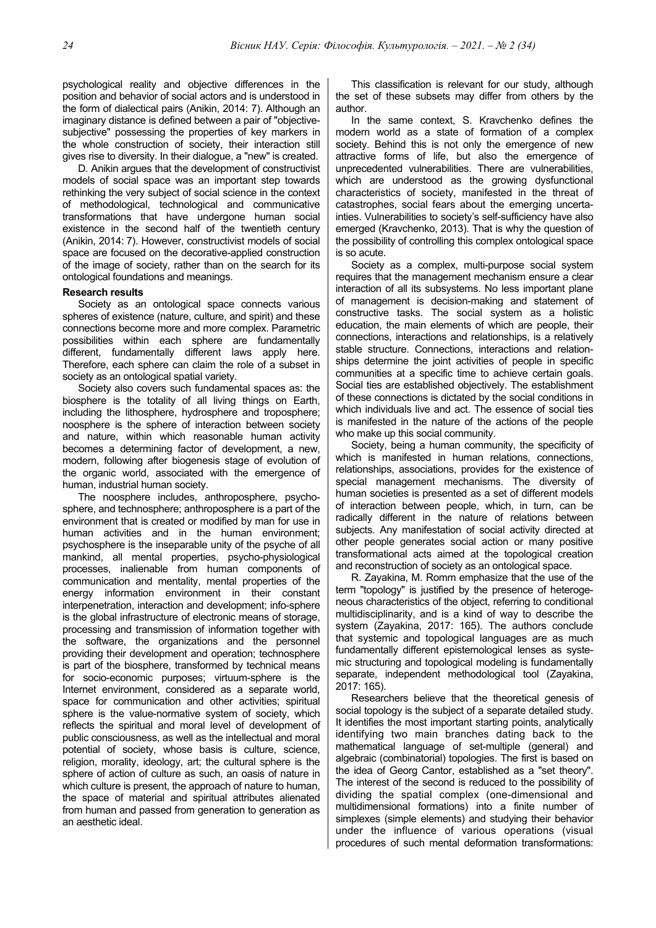psychological reality and objective differences in the position and behavior of social actors and is understood in the form of dialectical pairs (Anikin, 2014: 7). Although an imaginary distance is defined between a pair of "objectivesubjective" possessing the properties of key markers in the whole construction of society, their interaction still gives rise to diversity. In their dialogue, a "new" is created.

D. Anikin argues that the development of constructivist models of social space was an important step towards rethinking the very subject of social science in the context of methodological, technological and communicative transformations that have undergone human social existence in the second half of the twentieth century (Anikin, 2014: 7). However, constructivist models of social space are focused on the decorative-applied construction of the image of society, rather than on the search for its ontological foundations and meanings.

### **Research results**

Society as an ontological space connects various spheres of existence (nature, culture, and spirit) and these connections become more and more complex. Parametric possibilities within each sphere are fundamentally different, fundamentally different laws apply here. Therefore, each sphere can claim the role of a subset in society as an ontological spatial variety.

Society also covers such fundamental spaces as: the biosphere is the totality of all living things on Earth, including the lithosphere, hydrosphere and troposphere; noosphere is the sphere of interaction between society and nature, within which reasonable human activity becomes a determining factor of development, a new, modern, following after biogenesis stage of evolution of the organic world, associated with the emergence of human, industrial human society.

The noosphere includes, anthroposphere, psychosphere, and technosphere; anthroposphere is a part of the environment that is created or modified by man for use in human activities and in the human environment; psychosphere is the inseparable unity of the psyche of all mankind, all mental properties, psycho-physiological processes, inalienable from human components of communication and mentality, mental properties of the energy information environment in their constant interpenetration, interaction and development; info-sphere is the global infrastructure of electronic means of storage, processing and transmission of information together with the software, the organizations and the personnel providing their development and operation; technosphere is part of the biosphere, transformed by technical means for socio-economic purposes; virtuum-sphere is the Internet environment, considered as a separate world, space for communication and other activities; spiritual sphere is the value-normative system of society, which reflects the spiritual and moral level of development of public consciousness, as well as the intellectual and moral potential of society, whose basis is culture, science, religion, morality, ideology, art; the cultural sphere is the sphere of action of culture as such, an oasis of nature in which culture is present, the approach of nature to human, the space of material and spiritual attributes alienated from human and passed from generation to generation as an aesthetic ideal.

This classification is relevant for our study, although the set of these subsets may differ from others by the author.

In the same context, S. Kravchenko defines the modern world as a state of formation of a complex society. Behind this is not only the emergence of new attractive forms of life, but also the emergence of unprecedented vulnerabilities. There are vulnerabilities, which are understood as the growing dysfunctional characteristics of society, manifested in the threat of catastrophes, social fears about the emerging uncertainties. Vulnerabilities to society's self-sufficiency have also emerged (Kravchenko, 2013). That is why the question of the possibility of controlling this complex ontological space is so acute.

Society as a complex, multi-purpose social system requires that the management mechanism ensure a clear interaction of all its subsystems. No less important plane of management is decision-making and statement of constructive tasks. The social system as a holistic education, the main elements of which are people, their connections, interactions and relationships, is a relatively stable structure. Connections, interactions and relationships determine the joint activities of people in specific communities at a specific time to achieve certain goals. Social ties are established objectively. The establishment of these connections is dictated by the social conditions in which individuals live and act. The essence of social ties is manifested in the nature of the actions of the people who make up this social community.

Society, being a human community, the specificity of which is manifested in human relations, connections, relationships, associations, provides for the existence of special management mechanisms. The diversity of human societies is presented as a set of different models of interaction between people, which, in turn, can be radically different in the nature of relations between subjects. Any manifestation of social activity directed at other people generates social action or many positive transformational acts aimed at the topological creation and reconstruction of society as an ontological space.

R. Zayakina, M. Romm emphasize that the use of the term "topology" is justified by the presence of heterogeneous characteristics of the object, referring to conditional multidisciplinarity, and is a kind of way to describe the system (Zayakina, 2017: 165). The authors conclude that systemic and topological languages are as much fundamentally different epistemological lenses as systemic structuring and topological modeling is fundamentally separate, independent methodological tool (Zayakina, 2017: 165).

Researchers believe that the theoretical genesis of social topology is the subject of a separate detailed study. It identifies the most important starting points, analytically identifying two main branches dating back to the mathematical language of set-multiple (general) and algebraic (combinatorial) topologies. The first is based on the idea of Georg Cantor, established as a "set theory". The interest of the second is reduced to the possibility of dividing the spatial complex (one-dimensional and multidimensional formations) into a finite number of simplexes (simple elements) and studying their behavior under the influence of various operations (visual procedures of such mental deformation transformations: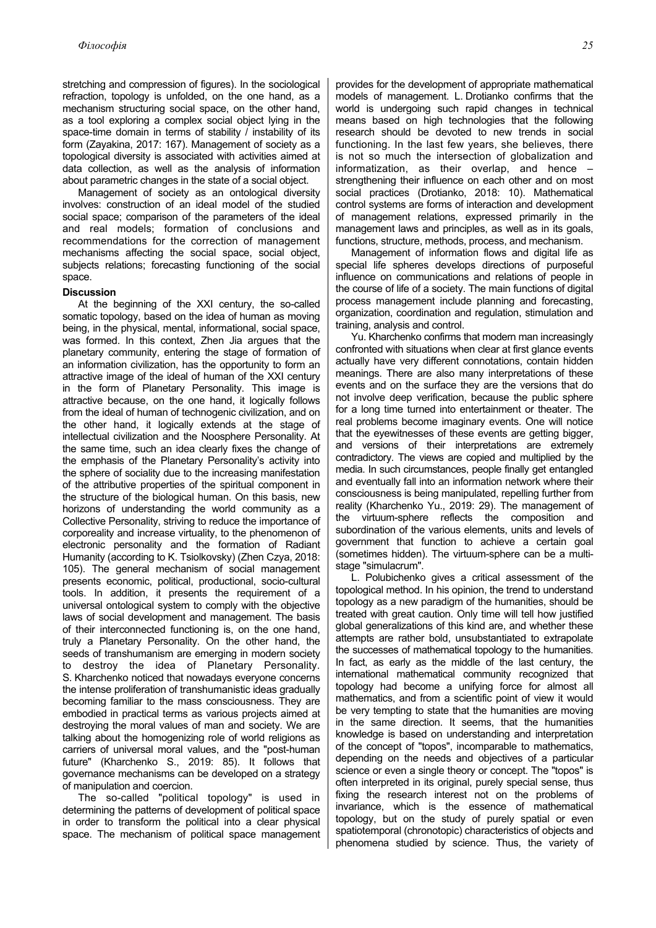stretching and compression of figures). In the sociological refraction, topology is unfolded, on the one hand, as a mechanism structuring social space, on the other hand, as a tool exploring a complex social object lying in the space-time domain in terms of stability / instability of its form (Zayakina, 2017: 167). Management of society as a topological diversity is associated with activities aimed at data collection, as well as the analysis of information about parametric changes in the state of a social object.

Management of society as an ontological diversity involves: construction of an ideal model of the studied social space; comparison of the parameters of the ideal and real models; formation of conclusions and recommendations for the correction of management mechanisms affecting the social space, social object, subjects relations; forecasting functioning of the social space.

#### **Discussion**

At the beginning of the XXI century, the so-called somatic topology, based on the idea of human as moving being, in the physical, mental, informational, social space, was formed. In this context, Zhen Jia argues that the planetary community, entering the stage of formation of an information civilization, has the opportunity to form an attractive image of the ideal of human of the XXI century in the form of Planetary Personality. This image is attractive because, on the one hand, it logically follows from the ideal of human of technogenic civilization, and on the other hand, it logically extends at the stage of intellectual civilization and the Noosphere Personality. At the same time, such an idea clearly fixes the change of the emphasis of the Planetary Personality's activity into the sphere of sociality due to the increasing manifestation of the attributive properties of the spiritual component in the structure of the biological human. On this basis, new horizons of understanding the world community as a Collective Personality, striving to reduce the importance of corporeality and increase virtuality, to the phenomenon of electronic personality and the formation of Radiant Humanity (according to K. Tsiolkovsky) (Zhen Czya, 2018: 105). The general mechanism of social management presents economic, political, productional, socio-cultural tools. In addition, it presents the requirement of a universal ontological system to comply with the objective laws of social development and management. The basis of their interconnected functioning is, on the one hand, truly a Planetary Personality. On the other hand, the seeds of transhumanism are emerging in modern society to destroy the idea of Planetary Personality. S. Kharchenko noticed that nowadays everyone concerns the intense proliferation of transhumanistic ideas gradually becoming familiar to the mass consciousness. They are embodied in practical terms as various projects aimed at destroying the moral values of man and society. We are talking about the homogenizing role of world religions as carriers of universal moral values, and the "post-human future" (Kharchenko S., 2019: 85). It follows that governance mechanisms can be developed on a strategy of manipulation and coercion.

The so-called "political topology" is used in determining the patterns of development of political space in order to transform the political into a clear physical space. The mechanism of political space management provides for the development of appropriate mathematical models of management. L. Drotianko confirms that the world is undergoing such rapid changes in technical means based on high technologies that the following research should be devoted to new trends in social functioning. In the last few years, she believes, there is not so much the intersection of globalization and informatization, as their overlap, and hence – strengthening their influence on each other and on most social practices (Drotianko, 2018: 10). Mathematical control systems are forms of interaction and development of management relations, expressed primarily in the management laws and principles, as well as in its goals, functions, structure, methods, process, and mechanism.

Management of information flows and digital life as special life spheres develops directions of purposeful influence on communications and relations of people in the course of life of a society. The main functions of digital process management include planning and forecasting, organization, coordination and regulation, stimulation and training, analysis and control.

Yu. Kharchenko confirms that modern man increasingly confronted with situations when clear at first glance events actually have very different connotations, contain hidden meanings. There are also many interpretations of these events and on the surface they are the versions that do not involve deep verification, because the public sphere for a long time turned into entertainment or theater. The real problems become imaginary events. One will notice that the eyewitnesses of these events are getting bigger, and versions of their interpretations are extremely contradictory. The views are copied and multiplied by the media. In such circumstances, people finally get entangled and eventually fall into an information network where their consciousness is being manipulated, repelling further from reality (Kharchenko Yu., 2019: 29). The management of the virtuum-sphere reflects the composition and subordination of the various elements, units and levels of government that function to achieve a certain goal (sometimes hidden). The virtuum-sphere can be a multistage "simulacrum".

L. Polubichenko gives a critical assessment of the topological method. In his opinion, the trend to understand topology as a new paradigm of the humanities, should be treated with great caution. Only time will tell how justified global generalizations of this kind are, and whether these attempts are rather bold, unsubstantiated to extrapolate the successes of mathematical topology to the humanities. In fact, as early as the middle of the last century, the international mathematical community recognized that topology had become a unifying force for almost all mathematics, and from a scientific point of view it would be very tempting to state that the humanities are moving in the same direction. It seems, that the humanities knowledge is based on understanding and interpretation of the concept of "topos", incomparable to mathematics, depending on the needs and objectives of a particular science or even a single theory or concept. The "topos" is often interpreted in its original, purely special sense, thus fixing the research interest not on the problems of invariance, which is the essence of mathematical topology, but on the study of purely spatial or even spatiotemporal (chronotopic) characteristics of objects and phenomena studied by science. Thus, the variety of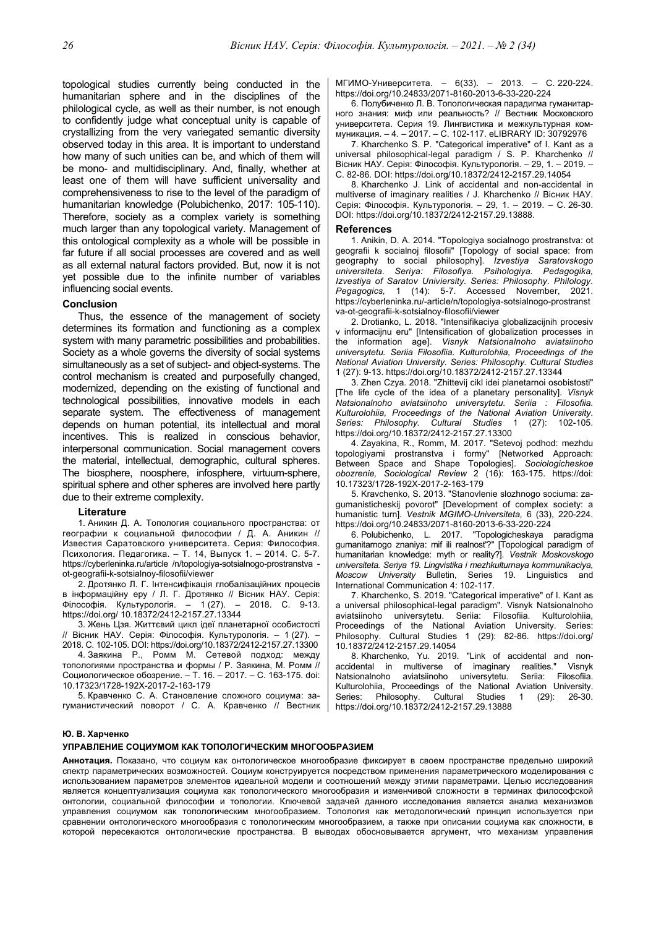topological studies currently being conducted in the humanitarian sphere and in the disciplines of the philological cycle, as well as their number, is not enough to confidently judge what conceptual unity is capable of crystallizing from the very variegated semantic diversity observed today in this area. It is important to understand how many of such unities can be, and which of them will be mono- and multidisciplinary. And, finally, whether at least one of them will have sufficient universality and comprehensiveness to rise to the level of the paradigm of humanitarian knowledge (Polubichenko, 2017: 105-110). Therefore, society as a complex variety is something much larger than any topological variety. Management of this ontological complexity as a whole will be possible in far future if all social processes are covered and as well as all external natural factors provided. But, now it is not yet possible due to the infinite number of variables influencing social events.

# **Conclusion**

Thus, the essence of the management of society determines its formation and functioning as a complex system with many parametric possibilities and probabilities. Society as a whole governs the diversity of social systems simultaneously as a set of subject- and object-systems. The control mechanism is created and purposefully changed, modernized, depending on the existing of functional and technological possibilities, innovative models in each separate system. The effectiveness of management depends on human potential, its intellectual and moral incentives. This is realized in conscious behavior, interpersonal communication. Social management covers the material, intellectual, demographic, cultural spheres. The biosphere, noosphere, infosphere, virtuum-sphere, spiritual sphere and other spheres are involved here partly due to their extreme complexity.

### **Literature**

1. Аникин Д. А. Топология социального пространства: от географии к социальной философии / Д. А. Аникин // Известия Саратовского университета. Серия: Философия. Психология. Педагогика. – Т. 14, Выпуск 1. – 2014. С. 5-7. https://cyberleninka.ru/article /n/topologiya-sotsialnogo-prostranstva ot-geografii-k-sotsialnoy-filosofii/viewer

2. Дротянко Л. Г. Інтенсифікація глобалізаційних процесів в інформаційну еру / Л. Г. Дротянко // Вісник НАУ. Серія: Філософія. Культурологія. – 1 (27). – 2018. С. 9-13. https://doi.org/ 10.18372/2412-2157.27.13344

3. Жень Цзя. Життєвий цикл ідеї планетарної особистості // Вісник НАУ. Серія: Філософія. Культурологія. – 1 (27). – 2018. С. 102-105. DOI: https://doi.org/10.18372/2412-2157.27.13300

4. Заякина Р., Ромм М. Сетевой подход: между топологиями пространства и формы / Р. Заякина, М. Ромм // Социологическое обозрение. – Т. 16. – 2017. – С. 163-175. doi: 10.17323/1728-192X-2017-2-163-179

5. Кравченко С. А. Становление сложного социума: загуманистический поворот / С. А. Кравченко // Вестник МГИМО-Университета. – 6(33). – 2013. – С. 220-224. https://doi.org/10.24833/2071-8160-2013-6-33-220-224

6. Полубиченко Л. В. Топологическая парадигма гуманитарного знания: миф или реальность? // Вестник Московского университета. Серия 19. Лингвистика и межкультурная коммуникация. – 4. – 2017. – С. 102-117. eLIBRARY ID: 30792976

7. Kharchenko S. P. "Categorical imperative" of I. Kant as a universal philosophical-legal paradigm / S. P. Kharchenko // Вісник НАУ. Серія: Філософія. Культурологія. – 29, 1. – 2019. – С. 82-86. DOI: https://doi.org/10.18372/2412-2157.29.14054

8. Kharchenko J. Link of accidental and non-accidental in multiverse of imaginary realities / J. Kharchenko // Вісник НАУ. Серія: Філософія. Культурологія. – 29, 1. – 2019. – С. 26-30. DOI: https://doi.org/10.18372/2412-2157.29.13888.

#### **References**

1. Anikin, D. A. 2014. "Topologiya socialnogo prostranstva: ot geografii k socialnoj filosofii" [Topology of social space: from geography to social philosophy]. *Izvestiya Saratovskogo universiteta. Seriya: Filosofiya. Psihologiya. Pedagogika, Izvestiya of Saratov Univiersity. Series: Philosophy. Philology. Pegagogics,* 1 (14): 5-7. Accessed November, 2021. https://cyberleninka.ru/-article/n/topologiya-sotsialnogo-prostranst va-ot-geografii-k-sotsialnoy-filosofii/viewer

2. Drotianko, L. 2018. "Іntensifіkacіya globalіzacіjnih procesіv v іnformacіjnu eru" [Intensification of globalization processes in the information age]. *Visnyk Natsionalnoho aviatsiinoho universytetu. Seriia Filosofiia. Kulturolohiia, Proceedings of the National Aviation University. Series: Philosophy. Cultural Studies* 1 (27): 9-13. https://doi.org/10.18372/2412-2157.27.13344

3. Zhen Czya. 2018. "Zhittevij cikl іdei planetarnoi osobistostі" [The life cycle of the idea of a planetary personality]. *Visnyk Natsionalnoho aviatsiinoho universytetu. Seriia : Filosofiia. Kulturolohiia, Proceedings of the National Aviation University. Series: Philosophy. Cultural Studies* 1 (27): 102-105. https://doi.org/10.18372/2412-2157.27.13300

4. Zayakina, R., Romm, M. 2017. "Setevoj podhod: mezhdu topologiyami prostranstva i formy" [Networked Approach: Between Space and Shape Topologies]. *Sociologicheskoe obozrenie, Sociological Review* 2 (16): 163-175. https://doi: 10.17323/1728-192X-2017-2-163-179

5. Kravchenko, S. 2013. "Stanovlenie slozhnogo sociuma: zagumanisticheskij povorot" [Development of complex society: a humanistic turn]. *Vestnik MGIMO-Universiteta,* 6 (33), 220-224. https://doi.org/10.24833/2071-8160-2013-6-33-220-224

6. Polubichenko, L. 2017. "Topologicheskaya paradigma gumanitarnogo znaniya: mif ili realnost'?" [Topological paradigm of humanitarian knowledge: myth or reality?]. *Vestnik Moskovskogo universiteta. Seriya 19. Lingvistika i mezhkulturnaya kommunikaciya, Moscow University* Bulletin, Series 19. Linguistics and International Communication 4: 102-117.

7. Kharchenko, S. 2019. "Categorical imperative" of I. Kant as a universal philosophical-legal paradigm". Visnyk Natsionalnoho aviatsiinoho universytetu. Seriia: Filosofiia. Kulturolohiia, Proceedings of the National Aviation University. Series: Philosophy. Cultural Studies 1 (29): 82-86. https://doi.org/ 10.18372/2412-2157.29.14054

8. Kharchenko, Yu. 2019. "Link of accidental and nonaccidental in multiverse of imaginary realities." Visnyk Natsionalnoho aviatsiinoho universytetu. Seriia: Filosofiia. Kulturolohiia, Proceedings of the National Aviation University. Series: Philosophy. Cultural Studies 1 (29): 26-30. https://doi.org/10.18372/2412-2157.29.13888

#### **Ю. В. Харченко**

#### **УПРАВЛЕНИЕ СОЦИУМОМ КАК ТОПОЛОГИЧЕСКИМ МНОГООБРАЗИЕМ**

**Аннотация.** Показано, что социум как онтологическое многообразие фиксирует в своем пространстве предельно широкий спектр параметрических возможностей. Социум конструируется посредством применения параметрического моделирования с использованием параметров элементов идеальной модели и соотношений между этими параметрами. Целью исследования является концептуализация социума как топологического многообразия и изменчивой сложности в терминах философской онтологии, социальной философии и топологии. Ключевой задачей данного исследования является анализ механизмов управления социумом как топологическим многообразием. Топология как методологический принцип используется при сравнении онтологического многообразия с топологическим многообразием, а также при описании социума как сложности, в которой пересекаются онтологические пространства. В выводах обосновывается аргумент, что механизм управления